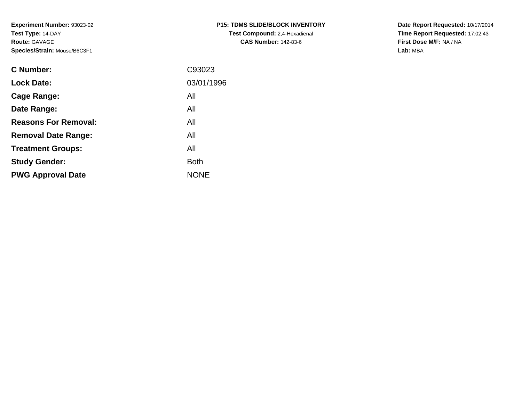**Experiment Number:** 93023-02**Test Type:** 14-DAY**Route:** GAVAGE**Species/Strain:** Mouse/B6C3F1

| <b>P15: TDMS SLIDE/BLOCK INVENTORY</b> |
|----------------------------------------|
| <b>Test Compound:</b> 2,4-Hexadienal   |
| <b>CAS Number: 142-83-6</b>            |

**Date Report Requested:** 10/17/2014 **Time Report Requested:** 17:02:43**First Dose M/F:** NA / NA**Lab:** MBA

| C Number:                   | C93023      |
|-----------------------------|-------------|
| <b>Lock Date:</b>           | 03/01/1996  |
| Cage Range:                 | All         |
| Date Range:                 | All         |
| <b>Reasons For Removal:</b> | All         |
| <b>Removal Date Range:</b>  | All         |
| <b>Treatment Groups:</b>    | All         |
| <b>Study Gender:</b>        | <b>Both</b> |
| <b>PWG Approval Date</b>    | <b>NONE</b> |
|                             |             |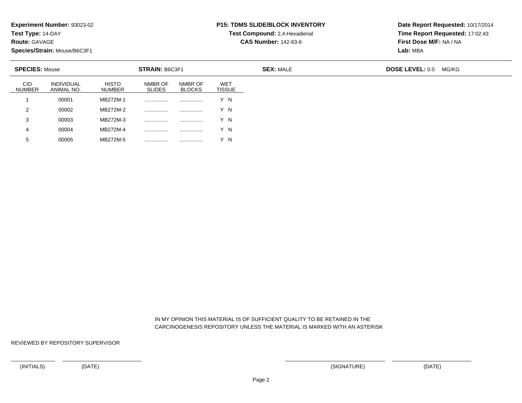**Test Type:** 14-DAY

**Route:** GAVAGE

**Species/Strain:** Mouse/B6C3F1

<sup>00005</sup> MB272M-5 ................ ................ Y N

## **P15: TDMS SLIDE/BLOCK INVENTORY**

**Test Compound:** 2,4-Hexadienal **CAS Number:** 142-83-6

**Date Report Requested:** 10/17/2014**Time Report Requested:** 17:02:43**First Dose M/F:** NA / NA**Lab:** MBA

| <b>SPECIES: Mouse</b>       |                          |                               | <b>STRAIN: B6C3F1</b>    |                          |                      | <b>SEX: MALE</b> | <b>DOSE LEVEL: 0.0</b> | MG/KG |
|-----------------------------|--------------------------|-------------------------------|--------------------------|--------------------------|----------------------|------------------|------------------------|-------|
| <b>CID</b><br><b>NUMBER</b> | INDIVIDUAL<br>ANIMAL NO. | <b>HISTO</b><br><b>NUMBER</b> | NMBR OF<br><b>SLIDES</b> | NMBR OF<br><b>BLOCKS</b> | WET<br><b>TISSUE</b> |                  |                        |       |
|                             | 00001                    | MB272M-1                      |                          |                          | Y N                  |                  |                        |       |
| 2                           | 00002                    | MB272M-2                      |                          | .                        | Y N                  |                  |                        |       |
| 3                           | 00003                    | MB272M-3                      |                          |                          | Y N                  |                  |                        |       |
| 4                           | 00004                    | MB272M-4                      |                          |                          | Y N                  |                  |                        |       |
| $5^{\circ}$                 | 00005                    | MB272M-5                      |                          |                          | Y N                  |                  |                        |       |

 IN MY OPINION THIS MATERIAL IS OF SUFFICIENT QUALITY TO BE RETAINED IN THECARCINOGENESIS REPOSITORY UNLESS THE MATERIAL IS MARKED WITH AN ASTERISK

REVIEWED BY REPOSITORY SUPERVISOR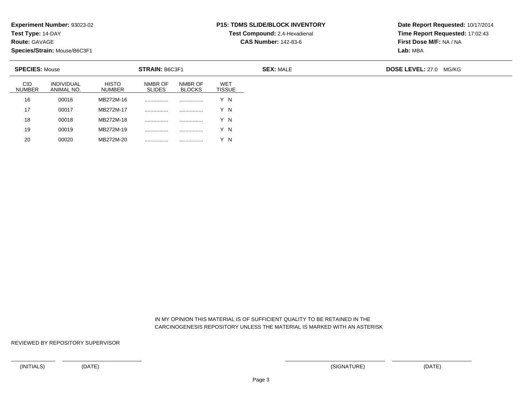**Test Type:** 14-DAY

**Route:** GAVAGE

20

**Species/Strain:** Mouse/B6C3F1

<sup>00020</sup> MB272M-20 ................ ................ Y N

#### **P15: TDMS SLIDE/BLOCK INVENTORYTest Compound:** 2,4-Hexadienal

**CAS Number:** 142-83-6

**Date Report Requested:** 10/17/2014**Time Report Requested:** 17:02:43**First Dose M/F:** NA / NA**Lab:** MBA

| <b>SPECIES: Mouse</b><br>STRAIN: B6C3F1 |                               |                          |                          | <b>SEX: MALE</b>            | <b>DOSE LEVEL: 27.0 MG/KG</b> |  |
|-----------------------------------------|-------------------------------|--------------------------|--------------------------|-----------------------------|-------------------------------|--|
| <b>INDIVIDUAL</b><br>ANIMAL NO.         | <b>HISTO</b><br><b>NUMBER</b> | NMBR OF<br><b>SLIDES</b> | NMBR OF<br><b>BLOCKS</b> | <b>WET</b><br><b>TISSUE</b> |                               |  |
| 00016                                   | MB272M-16                     |                          |                          | Y N                         |                               |  |
| 00017                                   | MB272M-17                     |                          | .                        | Y N                         |                               |  |
| 00018                                   | MB272M-18                     |                          |                          | Y N                         |                               |  |
| 00019                                   | MB272M-19                     |                          | .                        | Y N                         |                               |  |
|                                         |                               |                          |                          |                             |                               |  |

 IN MY OPINION THIS MATERIAL IS OF SUFFICIENT QUALITY TO BE RETAINED IN THECARCINOGENESIS REPOSITORY UNLESS THE MATERIAL IS MARKED WITH AN ASTERISK

REVIEWED BY REPOSITORY SUPERVISOR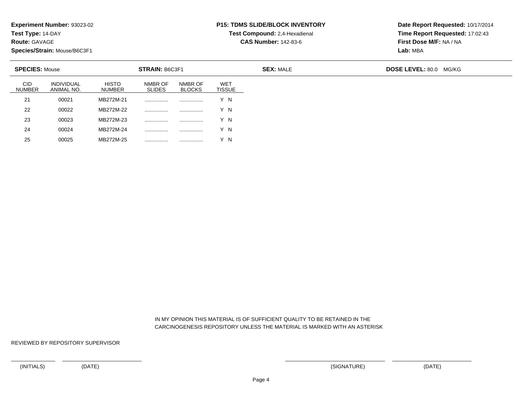**Test Type:** 14-DAY

**Route:** GAVAGE

25

**Species/Strain:** Mouse/B6C3F1

<sup>00025</sup> MB272M-25 ................ ................ Y N

# **P15: TDMS SLIDE/BLOCK INVENTORY**

**Test Compound:** 2,4-Hexadienal **CAS Number:** 142-83-6

**Date Report Requested:** 10/17/2014**Time Report Requested:** 17:02:43**First Dose M/F:** NA / NA**Lab:** MBA

| <b>SPECIES: Mouse</b>       |                          |                               | STRAIN: B6C3F1           |                          |                      | <b>SEX: MALE</b> | <b>DOSE LEVEL: 80.0 MG/KG</b> |
|-----------------------------|--------------------------|-------------------------------|--------------------------|--------------------------|----------------------|------------------|-------------------------------|
| <b>CID</b><br><b>NUMBER</b> | INDIVIDUAL<br>ANIMAL NO. | <b>HISTO</b><br><b>NUMBER</b> | NMBR OF<br><b>SLIDES</b> | NMBR OF<br><b>BLOCKS</b> | WET<br><b>TISSUE</b> |                  |                               |
| 21                          | 00021                    | MB272M-21                     |                          |                          | Y N                  |                  |                               |
| 22                          | 00022                    | MB272M-22                     |                          |                          | Y N                  |                  |                               |
| 23                          | 00023                    | MB272M-23                     |                          |                          | Y N                  |                  |                               |
| 24                          | 00024                    | MB272M-24                     |                          |                          | N                    |                  |                               |

 IN MY OPINION THIS MATERIAL IS OF SUFFICIENT QUALITY TO BE RETAINED IN THECARCINOGENESIS REPOSITORY UNLESS THE MATERIAL IS MARKED WITH AN ASTERISK

REVIEWED BY REPOSITORY SUPERVISOR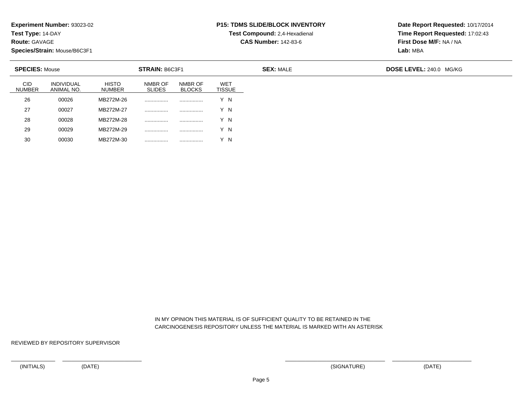**Test Type:** 14-DAY

**Route:** GAVAGE

**Species/Strain:** Mouse/B6C3F1

<sup>00030</sup> MB272M-30 ................ ................ Y N

#### **P15: TDMS SLIDE/BLOCK INVENTORYTest Compound:** 2,4-Hexadienal

**CAS Number:** 142-83-6

**Date Report Requested:** 10/17/2014**Time Report Requested:** 17:02:43**First Dose M/F:** NA / NA**Lab:** MBA

| <b>SPECIES: Mouse</b><br><b>STRAIN: B6C3F1</b> |                                 |                               |                          | <b>SEX: MALE</b>         | <b>DOSE LEVEL: 240.0 MG/KG</b> |  |  |
|------------------------------------------------|---------------------------------|-------------------------------|--------------------------|--------------------------|--------------------------------|--|--|
| <b>CID</b><br><b>NUMBER</b>                    | <b>INDIVIDUAL</b><br>ANIMAL NO. | <b>HISTO</b><br><b>NUMBER</b> | NMBR OF<br><b>SLIDES</b> | NMBR OF<br><b>BLOCKS</b> | WET<br><b>TISSUE</b>           |  |  |
| 26                                             | 00026                           | MB272M-26                     |                          | .                        | Y N                            |  |  |
| 27                                             | 00027                           | MB272M-27                     | .                        |                          | Y N                            |  |  |
| 28                                             | 00028                           | MB272M-28                     | .                        |                          | Y N                            |  |  |
| 29                                             | 00029                           | MB272M-29                     |                          |                          | Y N                            |  |  |
| 30                                             | 00030                           | MB272M-30                     |                          |                          | Y N                            |  |  |

 IN MY OPINION THIS MATERIAL IS OF SUFFICIENT QUALITY TO BE RETAINED IN THECARCINOGENESIS REPOSITORY UNLESS THE MATERIAL IS MARKED WITH AN ASTERISK

REVIEWED BY REPOSITORY SUPERVISOR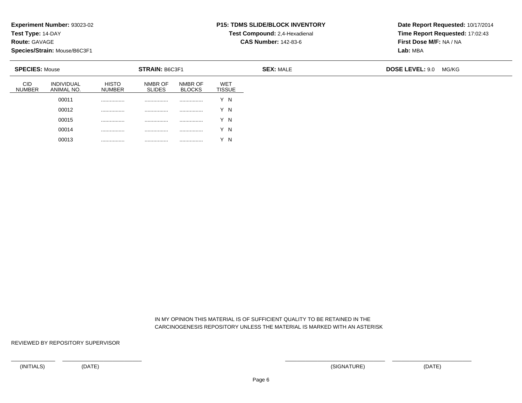**Test Type:** 14-DAY

**Route:** GAVAGE

**Species/Strain:** Mouse/B6C3F1

00013

................ ................ ................ Y N

### **P15: TDMS SLIDE/BLOCK INVENTORY**

**Test Compound:** 2,4-Hexadienal **CAS Number:** 142-83-6

**Date Report Requested:** 10/17/2014**Time Report Requested:** 17:02:43**First Dose M/F:** NA / NA**Lab:** MBA

| <b>SPECIES: Mouse</b>       |                                 |                               | STRAIN: B6C3F1           |                          |                             |
|-----------------------------|---------------------------------|-------------------------------|--------------------------|--------------------------|-----------------------------|
| <b>CID</b><br><b>NUMBER</b> | <b>INDIVIDUAL</b><br>ANIMAL NO. | <b>HISTO</b><br><b>NUMBER</b> | NMBR OF<br><b>SLIDES</b> | NMBR OF<br><b>BLOCKS</b> | <b>WET</b><br><b>TISSUE</b> |
|                             | 00011                           |                               | .                        |                          | Y N                         |
|                             | 00012                           |                               | .                        | .                        | Y N                         |
|                             | 00015                           | .                             | .                        | .                        | Y N                         |
|                             | 00014                           | .                             | .                        |                          | Y N                         |

 IN MY OPINION THIS MATERIAL IS OF SUFFICIENT QUALITY TO BE RETAINED IN THECARCINOGENESIS REPOSITORY UNLESS THE MATERIAL IS MARKED WITH AN ASTERISK

REVIEWED BY REPOSITORY SUPERVISOR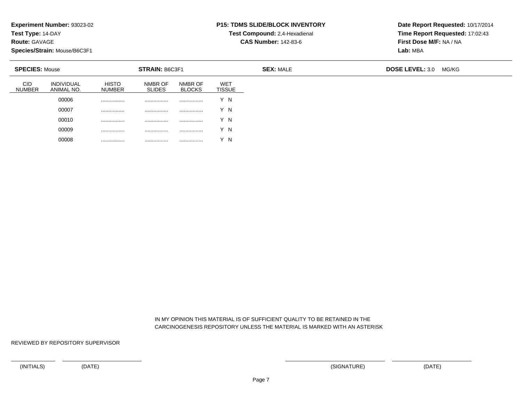**Test Type:** 14-DAY

**Route:** GAVAGE

**Species/Strain:** Mouse/B6C3F1

00008

................ ................ ................ Y N

### **P15: TDMS SLIDE/BLOCK INVENTORY**

**Test Compound:** 2,4-Hexadienal **CAS Number:** 142-83-6

**Date Report Requested:** 10/17/2014**Time Report Requested:** 17:02:43**First Dose M/F:** NA / NA**Lab:** MBA

| <b>SPECIES: Mouse</b>       |                                 |                               | STRAIN: B6C3F1           |                          |                             | <b>SEX: MALE</b> | <b>DOSE LEVEL: 3.0</b> | MG/KG |
|-----------------------------|---------------------------------|-------------------------------|--------------------------|--------------------------|-----------------------------|------------------|------------------------|-------|
| <b>CID</b><br><b>NUMBER</b> | <b>INDIVIDUAL</b><br>ANIMAL NO. | <b>HISTO</b><br><b>NUMBER</b> | NMBR OF<br><b>SLIDES</b> | NMBR OF<br><b>BLOCKS</b> | <b>WET</b><br><b>TISSUE</b> |                  |                        |       |
|                             | 00006                           |                               |                          |                          | Y N                         |                  |                        |       |
|                             | 00007                           |                               | .                        |                          | Y N                         |                  |                        |       |
|                             | 00010                           |                               | .                        |                          | Y N                         |                  |                        |       |
|                             | 00009                           | .                             |                          | .                        | Y N                         |                  |                        |       |

 IN MY OPINION THIS MATERIAL IS OF SUFFICIENT QUALITY TO BE RETAINED IN THECARCINOGENESIS REPOSITORY UNLESS THE MATERIAL IS MARKED WITH AN ASTERISK

REVIEWED BY REPOSITORY SUPERVISOR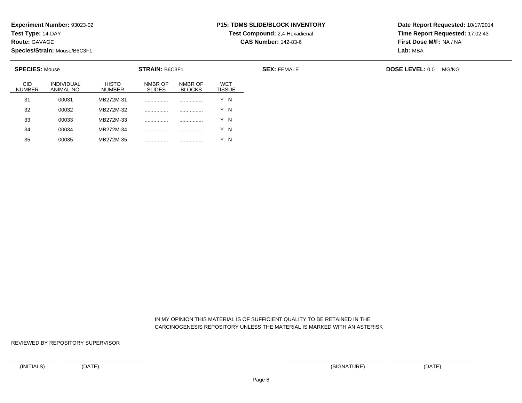**Test Type:** 14-DAY

**Route:** GAVAGE

35

**Species/Strain:** Mouse/B6C3F1

### **P15: TDMS SLIDE/BLOCK INVENTORY**

**Test Compound:** 2,4-Hexadienal **CAS Number:** 142-83-6

**Date Report Requested:** 10/17/2014**Time Report Requested:** 17:02:43**First Dose M/F:** NA / NA**Lab:** MBA

| STRAIN: B6C3F1<br><b>SPECIES: Mouse</b> |                                 |                               |                          |                          |                             | <b>SEX: FEMALE</b> | <b>DOSE LEVEL: 0.0</b> | MG/KG |
|-----------------------------------------|---------------------------------|-------------------------------|--------------------------|--------------------------|-----------------------------|--------------------|------------------------|-------|
| <b>CID</b><br><b>NUMBER</b>             | <b>INDIVIDUAL</b><br>ANIMAL NO. | <b>HISTO</b><br><b>NUMBER</b> | NMBR OF<br><b>SLIDES</b> | NMBR OF<br><b>BLOCKS</b> | <b>WET</b><br><b>TISSUE</b> |                    |                        |       |
| 31                                      | 00031                           | MB272M-31                     |                          |                          | Y N                         |                    |                        |       |
| 32                                      | 00032                           | MB272M-32                     | .                        |                          | Y N                         |                    |                        |       |
| 33                                      | 00033                           | MB272M-33                     | .                        | .                        | Y N                         |                    |                        |       |
| 34                                      | 00034                           | MB272M-34                     | .                        | .                        | Y N                         |                    |                        |       |

 IN MY OPINION THIS MATERIAL IS OF SUFFICIENT QUALITY TO BE RETAINED IN THECARCINOGENESIS REPOSITORY UNLESS THE MATERIAL IS MARKED WITH AN ASTERISK

REVIEWED BY REPOSITORY SUPERVISOR

<sup>00035</sup> MB272M-35 ................ ................ Y N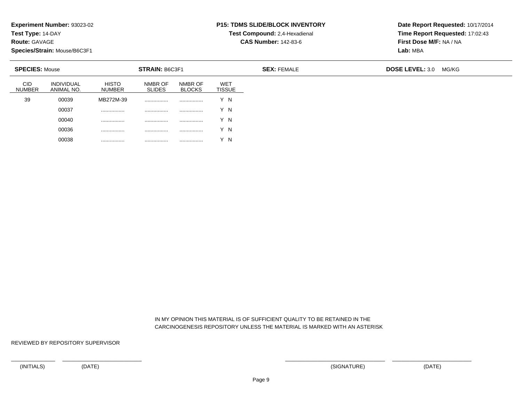**Test Type:** 14-DAY

**Route:** GAVAGE

**Species/Strain:** Mouse/B6C3F1

00038

................ ................ ................ Y N

### **P15: TDMS SLIDE/BLOCK INVENTORY**

**Test Compound:** 2,4-Hexadienal **CAS Number:** 142-83-6

**Date Report Requested:** 10/17/2014**Time Report Requested:** 17:02:43**First Dose M/F:** NA / NA**Lab:** MBA

| <b>STRAIN: B6C3F1</b><br><b>SPECIES: Mouse</b> |                                 |                               |                          |                          | <b>SEX: FEMALE</b>          | <b>DOSE LEVEL: 3.0</b> | MG/KG |  |
|------------------------------------------------|---------------------------------|-------------------------------|--------------------------|--------------------------|-----------------------------|------------------------|-------|--|
| <b>CID</b><br><b>NUMBER</b>                    | <b>INDIVIDUAL</b><br>ANIMAL NO. | <b>HISTO</b><br><b>NUMBER</b> | NMBR OF<br><b>SLIDES</b> | NMBR OF<br><b>BLOCKS</b> | <b>WET</b><br><b>TISSUE</b> |                        |       |  |
| 39                                             | 00039                           | MB272M-39                     |                          | .                        | Y N                         |                        |       |  |
|                                                | 00037                           | .                             | .                        |                          | Y N                         |                        |       |  |
|                                                | 00040                           | .                             |                          | .                        | Y N                         |                        |       |  |
|                                                | 00036                           | .                             | .                        | .                        | N                           |                        |       |  |

 IN MY OPINION THIS MATERIAL IS OF SUFFICIENT QUALITY TO BE RETAINED IN THECARCINOGENESIS REPOSITORY UNLESS THE MATERIAL IS MARKED WITH AN ASTERISK

REVIEWED BY REPOSITORY SUPERVISOR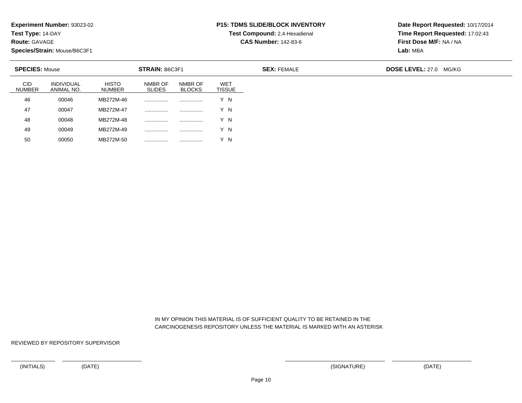**Test Type:** 14-DAY

**Route:** GAVAGE

50

**Species/Strain:** Mouse/B6C3F1

<sup>00050</sup> MB272M-50 ................ ................ Y N

# **P15: TDMS SLIDE/BLOCK INVENTORY**

**Test Compound:** 2,4-Hexadienal **CAS Number:** 142-83-6

**Date Report Requested:** 10/17/2014**Time Report Requested:** 17:02:43**First Dose M/F:** NA / NA**Lab:** MBA

| <b>CID</b><br>NMBR OF<br><b>INDIVIDUAL</b><br><b>HISTO</b><br>WET<br>NMBR OF<br><b>SLIDES</b><br><b>TISSUE</b><br><b>NUMBER</b><br><b>BLOCKS</b><br>ANIMAL NO.<br><b>NUMBER</b><br>46<br>MB272M-46<br>Y N<br>00046<br><br><br>47<br>MB272M-47<br>Y N<br>00047<br>.<br><br>48<br>MB272M-48<br>Y N<br>00048<br>.<br><br>49<br>MB272M-49<br>Y N<br>00049<br><br>. | <b>SPECIES: Mouse</b> |  | STRAIN: B6C3F1 |  | <b>SEX: FEMALE</b> | <b>DOSE LEVEL: 27.0 MG/KG</b> |
|----------------------------------------------------------------------------------------------------------------------------------------------------------------------------------------------------------------------------------------------------------------------------------------------------------------------------------------------------------------|-----------------------|--|----------------|--|--------------------|-------------------------------|
|                                                                                                                                                                                                                                                                                                                                                                |                       |  |                |  |                    |                               |
|                                                                                                                                                                                                                                                                                                                                                                |                       |  |                |  |                    |                               |
|                                                                                                                                                                                                                                                                                                                                                                |                       |  |                |  |                    |                               |
|                                                                                                                                                                                                                                                                                                                                                                |                       |  |                |  |                    |                               |
|                                                                                                                                                                                                                                                                                                                                                                |                       |  |                |  |                    |                               |

 IN MY OPINION THIS MATERIAL IS OF SUFFICIENT QUALITY TO BE RETAINED IN THECARCINOGENESIS REPOSITORY UNLESS THE MATERIAL IS MARKED WITH AN ASTERISK

REVIEWED BY REPOSITORY SUPERVISOR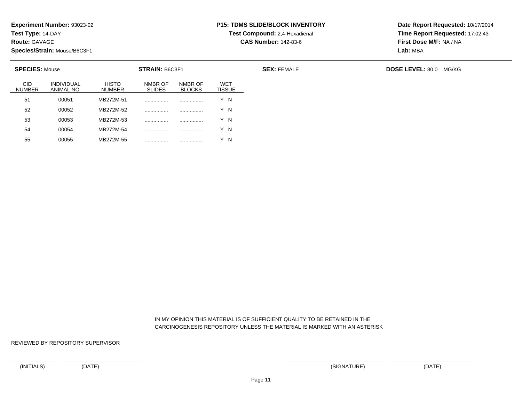**Test Type:** 14-DAY

**Route:** GAVAGE

55

**Species/Strain:** Mouse/B6C3F1

<sup>00055</sup> MB272M-55 ................ ................ Y N

## **P15: TDMS SLIDE/BLOCK INVENTORY**

**Test Compound:** 2,4-Hexadienal **CAS Number:** 142-83-6

**Date Report Requested:** 10/17/2014**Time Report Requested:** 17:02:43**First Dose M/F:** NA / NA**Lab:** MBA

| <b>SPECIES: Mouse</b>       |                                 |                               | <b>STRAIN: B6C3F1</b>    |                          |               | <b>SEX: FEMALE</b> | <b>DOSE LEVEL: 80.0</b><br>MG/KG |
|-----------------------------|---------------------------------|-------------------------------|--------------------------|--------------------------|---------------|--------------------|----------------------------------|
| <b>CID</b><br><b>NUMBER</b> | <b>INDIVIDUAL</b><br>ANIMAL NO. | <b>HISTO</b><br><b>NUMBER</b> | NMBR OF<br><b>SLIDES</b> | NMBR OF<br><b>BLOCKS</b> | WET<br>TISSUE |                    |                                  |
| 51                          | 00051                           | MB272M-51                     | .                        |                          | Y N           |                    |                                  |
| 52                          | 00052                           | MB272M-52                     |                          |                          | Y N           |                    |                                  |
| 53                          | 00053                           | MB272M-53                     | .                        |                          | Y N           |                    |                                  |
| 54                          | 00054                           | MB272M-54                     | .                        | .                        | Y N           |                    |                                  |

 IN MY OPINION THIS MATERIAL IS OF SUFFICIENT QUALITY TO BE RETAINED IN THECARCINOGENESIS REPOSITORY UNLESS THE MATERIAL IS MARKED WITH AN ASTERISK

REVIEWED BY REPOSITORY SUPERVISOR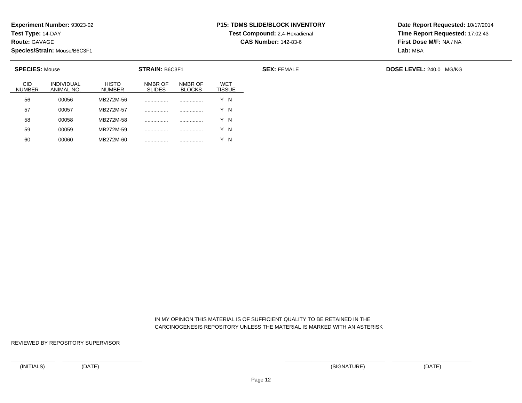**Test Type:** 14-DAY

**Route:** GAVAGE

**Species/Strain:** Mouse/B6C3F1

<sup>00060</sup> MB272M-60 ................ ................ Y N

# **P15: TDMS SLIDE/BLOCK INVENTORY**

**Test Compound:** 2,4-Hexadienal **CAS Number:** 142-83-6

**Date Report Requested:** 10/17/2014**Time Report Requested:** 17:02:43**First Dose M/F:** NA / NA**Lab:** MBA

| <b>SPECIES: Mouse</b>       |                                 |                               | <b>STRAIN: B6C3F1</b>    |                          | <b>SEX: FEMALE</b>   |  | <b>DOSE LEVEL: 240.0 MG/KG</b> |
|-----------------------------|---------------------------------|-------------------------------|--------------------------|--------------------------|----------------------|--|--------------------------------|
| <b>CID</b><br><b>NUMBER</b> | <b>INDIVIDUAL</b><br>ANIMAL NO. | <b>HISTO</b><br><b>NUMBER</b> | NMBR OF<br><b>SLIDES</b> | NMBR OF<br><b>BLOCKS</b> | WET<br><b>TISSUE</b> |  |                                |
| 56                          | 00056                           | MB272M-56                     |                          |                          | Y N                  |  |                                |
| 57                          | 00057                           | MB272M-57                     | .                        |                          | Y N                  |  |                                |
| 58                          | 00058                           | MB272M-58                     |                          | .                        | Y N                  |  |                                |
| 59                          | 00059                           | MB272M-59                     |                          |                          | Y N                  |  |                                |
| 60                          | 00060                           | MB272M-60                     |                          |                          | Y N                  |  |                                |

 IN MY OPINION THIS MATERIAL IS OF SUFFICIENT QUALITY TO BE RETAINED IN THECARCINOGENESIS REPOSITORY UNLESS THE MATERIAL IS MARKED WITH AN ASTERISK

REVIEWED BY REPOSITORY SUPERVISOR